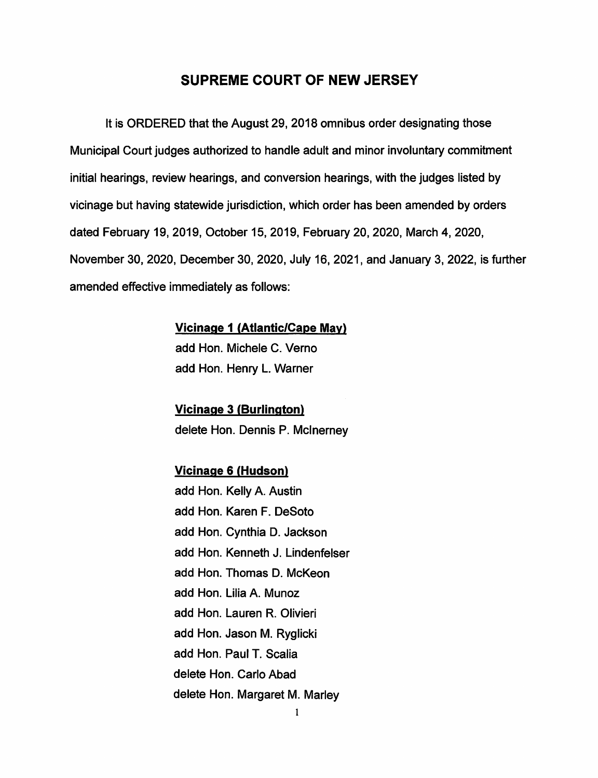## **SUPREME COURT OF NEW JERSEY**

It is ORDERED that the August 29, 2018 omnibus order designating those Municipal Court judges authorized to handle adult and minor involuntary commitment initial hearings, review hearings, and conversion hearings, with the judges listed by vicinage but having statewide jurisdiction, which order has been amended by orders dated February 19, 2019, October 15, 2019, February 20, 2020, March 4, 2020, November 30, 2020, December 30, 2020, July 16, 2021, and January 3, 2022, is further amended effective immediately as follows:

## **Vicinage 1 {Atlantic/Cape May}**

add Hon. Michele C. Verno add Hon. Henry L. Warner

**Vicinage 3 {Burlington}**  delete Hon. Dennis P. Mcinerney

## **Vicinage 6 {Hudson}**

add Hon. Kelly A. Austin add Hon. Karen F. DeSoto add Hon. Cynthia D. Jackson add Hon. Kenneth J. Lindenfelser add Hon. Thomas D. McKeon add Hon. Lilia A. Munoz add Hon. Lauren R. Olivieri add Hon. Jason M. Ryglicki add Hon. Paul T. Scalia delete Hon. Carlo Abad delete Hon. Margaret M. Marley